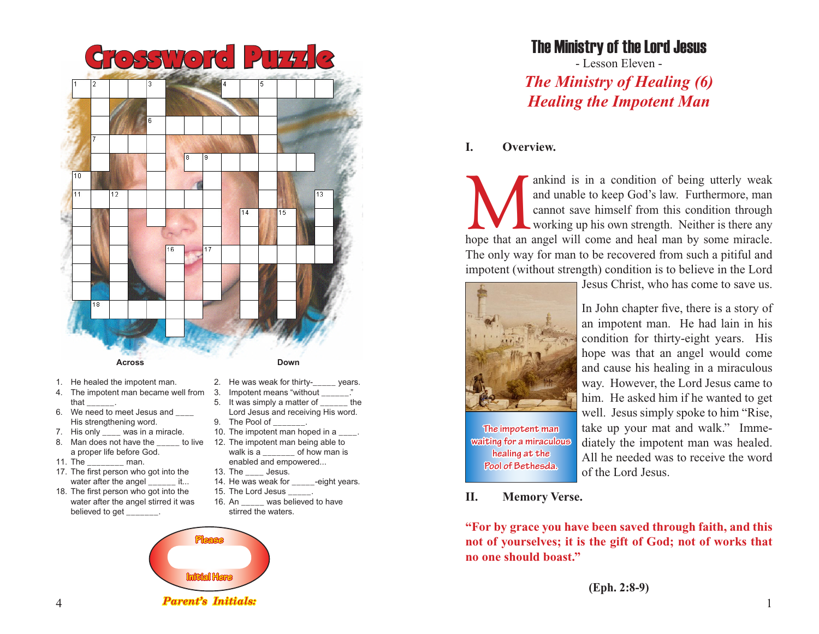

- 1. He healed the impotent man.
- 4. The impotent man became well from that
- 6. We need to meet Jesus and \_\_\_\_ His strengthening word.
- 7. His only was in a miracle.
- 8. Man does not have the a proper life before God.
- 11. The man.
- 17. The first person who got into the water after the angel it...
- 18. The first person who got into the water after the angel stirred it was believed to get \_
- 
- 2. He was weak for thirty- years. 3. Impotent means "without
- 5. It was simply a matter of \_\_\_\_\_\_ the
- Lord Jesus and receiving His word. 9. The Pool of
- 10. The impotent man hoped in a
- to live 12. The impotent man being able to walk is a \_\_\_\_\_\_\_ of how man is enabled and empowered...
	- 13. The Jesus.
	- 14. He was weak for \_\_\_\_\_-eight years.
	- 15. The Lord Jesus \_\_\_\_\_.
	- 16. An was believed to have stirred the waters.



## The Ministry of the Lord Jesus

- Lesson Eleven - *The Ministry of Healing (6) Healing the Impotent Man*

### **I. Overview.**

ankind is in a condition of being utterly weak and unable to keep God's law. Furthermore, man cannot save himself from this condition through working up his own strength. Neither is there any hope that an angel will come a and unable to keep God's law. Furthermore, man cannot save himself from this condition through working up his own strength. Neither is there any The only way for man to be recovered from such a pitiful and impotent (without strength) condition is to believe in the Lord



**The impotent man waiting for a miraculous healing at the Pool of Bethesda.**

Jesus Christ, who has come to save us.

In John chapter five, there is a story of an impotent man. He had lain in his condition for thirty-eight years. His hope was that an angel would come and cause his healing in a miraculous way. However, the Lord Jesus came to him. He asked him if he wanted to get well. Jesus simply spoke to him "Rise, take up your mat and walk." Immediately the impotent man was healed. All he needed was to receive the word of the Lord Jesus.

#### **II. Memory Verse.**

**"For by grace you have been saved through faith, and this not of yourselves; it is the gift of God; not of works that no one should boast."**